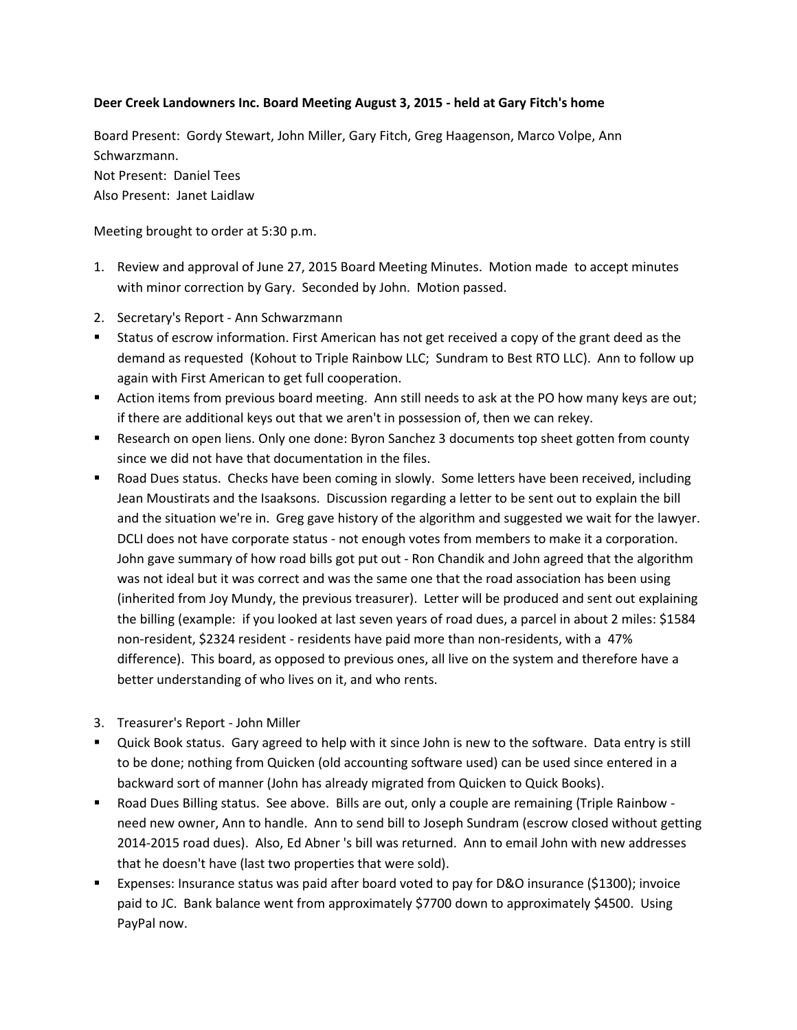## **Deer Creek Landowners Inc. Board Meeting August 3, 2015 - held at Gary Fitch's home**

Board Present: Gordy Stewart, John Miller, Gary Fitch, Greg Haagenson, Marco Volpe, Ann Schwarzmann.

Not Present: Daniel Tees Also Present: Janet Laidlaw

Meeting brought to order at 5:30 p.m.

- 1. Review and approval of June 27, 2015 Board Meeting Minutes. Motion made to accept minutes with minor correction by Gary. Seconded by John. Motion passed.
- 2. Secretary's Report Ann Schwarzmann
- Status of escrow information. First American has not get received a copy of the grant deed as the demand as requested (Kohout to Triple Rainbow LLC; Sundram to Best RTO LLC). Ann to follow up again with First American to get full cooperation.
- Action items from previous board meeting. Ann still needs to ask at the PO how many keys are out; if there are additional keys out that we aren't in possession of, then we can rekey.
- **EXECT** Research on open liens. Only one done: Byron Sanchez 3 documents top sheet gotten from county since we did not have that documentation in the files.
- Road Dues status. Checks have been coming in slowly. Some letters have been received, including Jean Moustirats and the Isaaksons. Discussion regarding a letter to be sent out to explain the bill and the situation we're in. Greg gave history of the algorithm and suggested we wait for the lawyer. DCLI does not have corporate status - not enough votes from members to make it a corporation. John gave summary of how road bills got put out - Ron Chandik and John agreed that the algorithm was not ideal but it was correct and was the same one that the road association has been using (inherited from Joy Mundy, the previous treasurer). Letter will be produced and sent out explaining the billing (example: if you looked at last seven years of road dues, a parcel in about 2 miles: \$1584 non-resident, \$2324 resident - residents have paid more than non-residents, with a 47% difference). This board, as opposed to previous ones, all live on the system and therefore have a better understanding of who lives on it, and who rents.
- 3. Treasurer's Report John Miller
- Quick Book status. Gary agreed to help with it since John is new to the software. Data entry is still to be done; nothing from Quicken (old accounting software used) can be used since entered in a backward sort of manner (John has already migrated from Quicken to Quick Books).
- Road Dues Billing status. See above. Bills are out, only a couple are remaining (Triple Rainbow need new owner, Ann to handle. Ann to send bill to Joseph Sundram (escrow closed without getting 2014-2015 road dues). Also, Ed Abner 's bill was returned. Ann to email John with new addresses that he doesn't have (last two properties that were sold).
- Expenses: Insurance status was paid after board voted to pay for D&O insurance (\$1300); invoice paid to JC. Bank balance went from approximately \$7700 down to approximately \$4500. Using PayPal now.